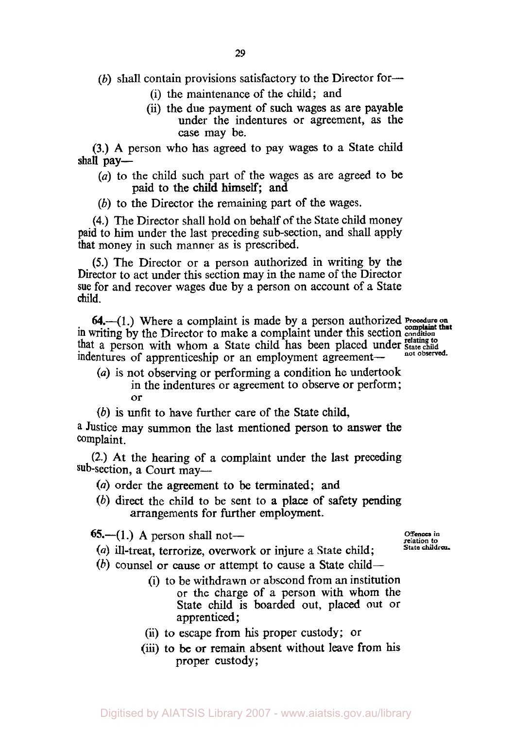(b) shall contain provisions satisfactory to the Director for-

- (i) the maintenance of the child; and
- (ii) the due payment of such wages as are payable under the indentures or agreement, as the case may be.

**(3.) A** person who has agreed to pay wages to a State child shall pay—

- *(a)* to the child such part of the wages as are agreed to be paid to the child himself; and
- *(b)* to the Director the remaining part of the wages.

**(4.)** The Director shall hold on behalf of the State child money paid to him under the last preceding sub-section, and shall apply that money in such manner as **is** prescribed.

*(5.)* The Director or a person authorized in writing by the Director to act under this section may in the name of the Director sue for and recover wages due by a person on account of a State child.

in writing by the Director to make a complaint under this section **condition 64.-(1.)** Where a complaint is made by a person authorized *Procedure on complaint that*  that a person with whom a State child has been placed under relating to independent a property of a property of  $\frac{1}{\sqrt{2}}$  and observed. indentures of apprenticeship or an employment agreement-

- *(a)* is not observing or performing a condition he undertook in the indentures or agreement to observe or perform; or
- *(b)* is unfit to have further care of the State child,

**<sup>a</sup>**Justice may summon the last mentioned person to answer **the**  complaint.

**(2.)** At the hearing of a complaint under the last preceding sub-section, a Court may-

- *(a)* order the agreement to be terminated; and
- *(b)* direct the child to be sent to **a** place of safety pending arrangements for further employment.

 $65 - (1)$  A person shall not-

- *(a)* ill-treat, terrorize, overwork or injure a State child;
- *Offences* **in relation to State children.**
- *(b)* counsel **or** cause or attempt to cause **a** State child-
	- (i) to be withdrawn or abscond from an institution or the charge of a person with whom the State child **is** boarded out, placed out or apprenticed ;
	- (ii) to escape from his proper custody; or
	- (iii) to **be** or remain absent without leave from **his**  proper custody;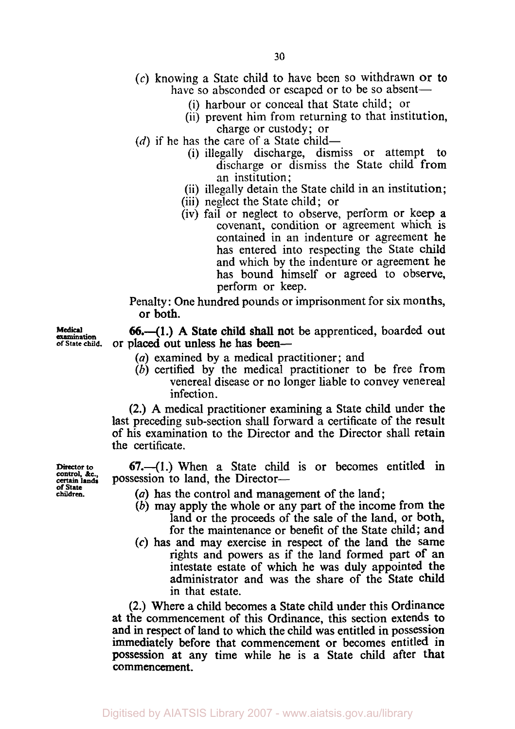- **(c)** knowing a State child to have been so withdrawn or to have so absconded or escaped or to be so absent—
	- (i) harbour or conceal that State child; or
	- (ii) prevent him from returning to that institution, charge or custody; or
- $(d)$  if he has the care of a State child-
	- (i) illegally discharge, dismiss or attempt to discharge or dismiss the State child from an institution;
	- (ii) illegally detain the State child in an institution;
	- (iii) neglect the State child; or
	- (iv) fail or neglect to observe, perform or keep a covenant, condition or agreement which is contained in an indenture or agreement he has entered into respecting the State child and which by the indenture or agreement he has bound himself or agreed to observe, perform or keep.

Penalty: One hundred pounds or imprisonment for six months. or both.

**66.-(1.) A** State child shall not be apprenticed, boarded out or placed out unless he has been-

- *(a)* examined by a medical practitioner; and
- (b) certified by the medical practitioner to be free from venereal disease or no longer liable to convey venereal infection.

(2.) A medical practitioner examining a State child under the last preceding sub-section shall forward a certificate of the result of his examination to the Director and the Director shall retain the certificate.

**67.-(1.)** When a State child is or becomes entitled in possession to land, the Director-

- *(a)* has the control and management of the land;
- (b) may apply the whole or any part of the income from the land or the proceeds of the sale of the land, or both, for the maintenance or benefit of the State child; and
- *(c)* has and may exercise in respect of the land the same rights and powers as if the land formed part **of** an intestate estate of which he was duly appointed the administrator and was the share of the State child in that estate.

**(2.)** Where a child becomes a State child under this Ordinance **at** the commencement of this Ordinance, this section extends to and **in** respect of land to which the child was entitled in possession immediately before that commencement or becomes entitled in possession **at** any time while he is a State child after that commencement.

**examination**<br>of State child.

**Medical** 

**Director to** control, *&c.,* **certain land. of State children.**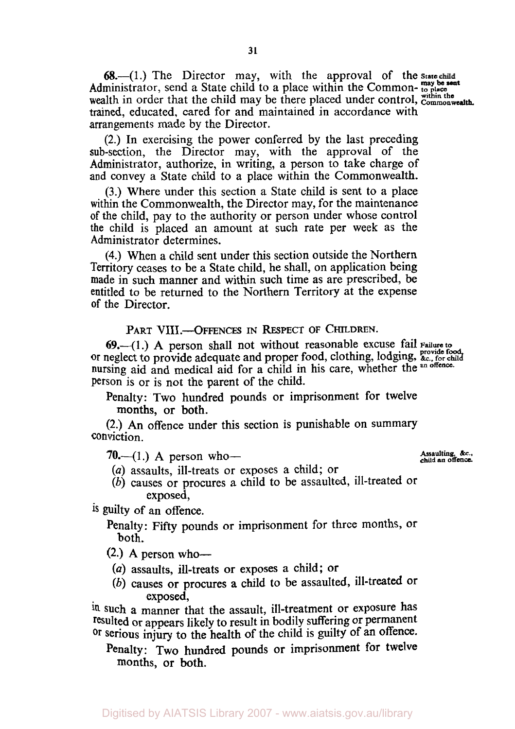**68.**-(1.) The Director may, with the approval of the state **may be sent** Administrator, send a State child to a place within the Common- **to place**  wealth in order that the child may be there placed under control, within the commonwealth. trained, educated, cared for and maintained in accordance with arrangements made by the Director.

(2.) In exercising the power conferred by the last preceding sub-section, the Director may, with the approval of the Administrator, authorize, in writing, a person to take charge of and convey a State child to a place within the Commonwealth.

**(3.)** Where under this section a State child is sent to a place within the Commonwealth, the Director may, for the maintenance of the child, pay to the authority or person under whose control the child is placed an amount at such rate per week as the Administrator determines.

**(4.)** When a child sent under this section outside the Northern Territory ceases to be a State child, he shall, on application being made in such manner and within such time as are prescribed, be entitled to be returned to the Northern Territory at the expense **of** the Director.

PART **VIII.-OFFENCES** IN RESPECT **OF** CHILDREN.

**69.--(1.) A** person shall not without reasonable excuse fail Failure **to**  or neglect to provide adequate and proper food, clothing, lodging, *&c.*, for child nursing aid and medical aid for a child in his care, whether the **an offence.**  Person is or is not the parent of the child.

Penalty: Two hundred pounds or imprisonment for twelve months, or both.

(2.) An offence under this section is punishable on summary conviction.

**Assaulting.** &c.. **70.--(1.)** A person who- **child an** offence.

(a) assaults, ill-treats or exposes a child; or

*(b)* causes or procures a child to be assaulted, ill-treated or exposed,

is guilty of an offence.

Penalty: Fifty pounds or imprisonment for three months, or both.

 $(2.)$  A person who--

- *(a)* assaults, ill-treats or exposes a child; or
- *(b)* causes or procures **a** child to be assaulted, ill-treated or exposed,

in such a manner that the assault, ill-treatment or exposure has resulted or appears likely to result in bodily suffering or permanent or **serious** injury to the health of the child is guilty **of** an offence.

Penalty: Two hundred pounds or imprisonment for twelve months, or both.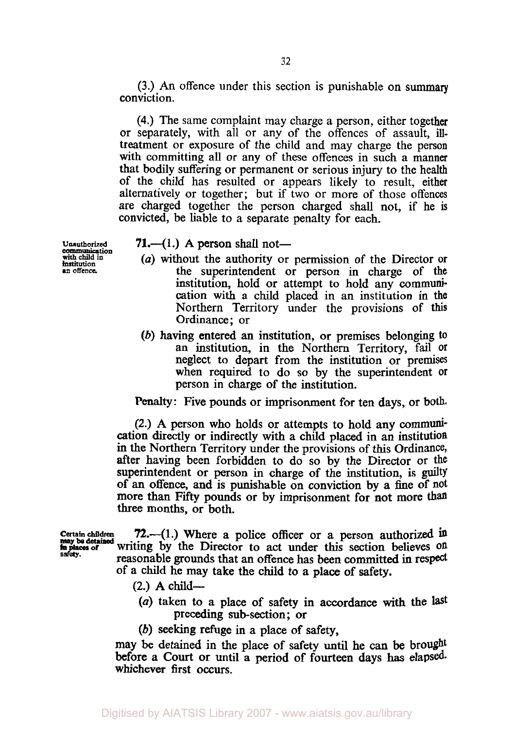(3.) *An* offence under this section is punishable on summary conviction.

**(4.)** The same complaint may charge a person, either together or separately, with all or any of the offences of assault, illtreatment or exposure of the child and may charge the person with committing all or any of these offences in such a manner that bodily suffering or permanent or serious injury to the health of the child has resulted or appears likely to result, either alternatively or together; but if two or more of those offences are charged together the person charged shall not, if he is convicted, be liable to a separate penalty for each.

**Unauthorized** 

## **71.**—(1.) A person shall not—

- with child in  $\frac{1}{\text{initial}}$  (a) without the authority or permission of the Director or  $\frac{1}{\text{initial}}$  or  $\frac{1}{\text{normal}}$  of  $\frac{1}{\text{normal}}$  or  $\frac{1}{\text{normal}}$  of  $\frac{1}{\text{normal}}$  or  $\frac{1}{\text{normal}}$  or  $\frac{1}{\text{normal}}$  or  $\frac{1}{\text{normal}}$  or  $\frac{1}{\$ the superintendent or person in charge of the institution, hold or attempt to hold any communication with a child placed in an institution in the Northern Territory under the provisions of this Ordinance; or
	- *(b)* having entered an institution, or premises belonging to an institution, in the Northern Territory, fail **Or**  neglect to depart from the institution or premises when required to do so by the superintendent or person in charge of the institution.

Penalty: Five pounds or imprisonment for ten days, or both.

(2.) A person who holds or attempts to hold any communication directly or indirectly with a child placed in an institution in the Northern Territory under the provisions of this Ordinance, after having been forbidden to do so by the Director or **the**  superintendent or person in charge of the institution, is **guilty**  of **an** offence, and is punishable on conviction by a fine of not more than **Fifty** pounds or by imprisonment for not more tha three months, or both.

72.—(1.) Where a police officer or a person authorized in writing by the Director to act under this section believes **on**  reasonable grounds that an offence has been committed in respect of a child he may take the child to a place of safety. **Certain children in places of may be detained**  *safety.* 

- $(2.)$  A child—
	- *(a)* taken to a place of safety in accordance with the last preceding subsection; or
	- *(b)* seeking refuge in a place of safety,

may be detained in the place of safety until he can be brought before a **Court** or until a period of fourteen days has elapsed. whichever first occurs.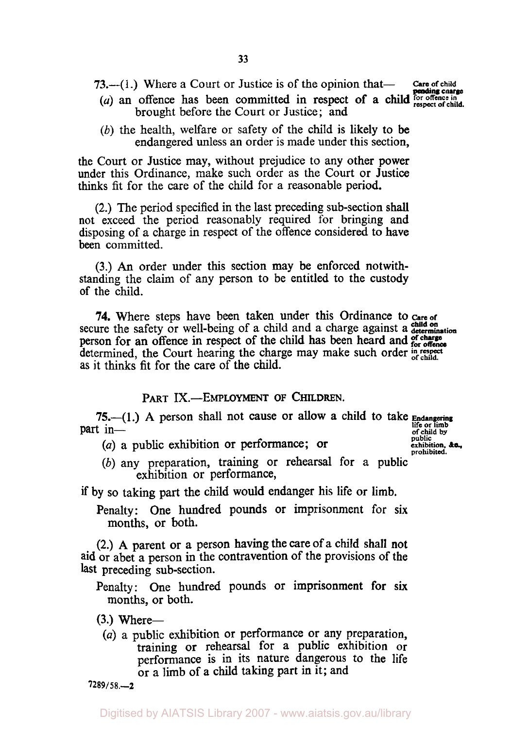- **73.**—(1.) Where a Court or Justice is of the opinion that— care of child
- brought before the Court or Justice; and *Careform child control between committed in respect of a child for offence in*
- *(b)* the health, welfare or safety of the child is likely to be endangered unless an order is made under this section,

the Court or Justice may, without prejudice to any other power under this Ordinance, make such order as the Court or Justice thinks fit for the care of the child for a reasonable period.

**(2.)** The period specified in the last preceding sub-section shall not exceed the period reasonably required for bringing and disposing of a charge in respect of the offence considered to have been committed.

**(3.) An** order under this section may be enforced notwithstanding the claim of any person to be entitled to the custody of the child.

**74.** Where steps have been taken under this Ordinance to care of secure the safety or well-being of a child and a charge against a determination person for an offence in respect of the child has been heard and **for offence** determined, the Court hearing the charge may make such order in respect as it thinks fit for the care of the child.

## PART IX.-EMPLOYMENT OF CHILDREN.

**75.-(1.) A** person shall not cause or allow a child to take *Endangering*  **part** in-<br> **part** in-<br> **of** child by **of child by** 

(a) a public exhibition or performance; or **public exhibition**, exhibition,

**public. exhibition.** *&c.,* 

*(b)* any preparation, training or rehearsal for a public exhibition or performance,

if by so taking part the child would endanger his life or limb.

Penalty: One hundred pounds or imprisonment for six months, or both.

**(2.) A** parent or a person having the care **of** a child shall not aid or abet a person in the contravention of the provisions of the last preceding sub-section.

Penalty: One hundred pounds or imprisonment for **six**  months, or both.

- **(3.)** Where-
- *(a)* a public exhibition or performance or any preparation, training **or** rehearsal for a public exhibition or performance is in its nature dangerous to the life or a limb of a child taking part in it; and

*7289/58.-2*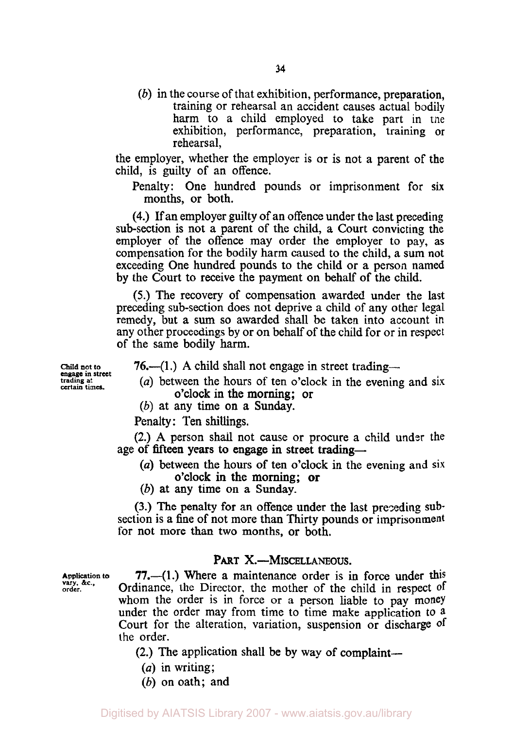*(b)* in the course of that exhibition, performance, preparation, training or rehearsal an accident causes actual bodily harm to a child employed to take part in tne exhibition, performance, preparation, training or rehearsal,

the employer, whether the employer is or is not a parent of the child, is guilty of an offence.

Penalty: One hundred pounds or imprisonment for six months, or both.

**(4.)** If an employer guilty of an offence under the last preceding sub-section is not a parent of the child, a Court convicting the employer of the offence may order the employer to pay, as compensation for the bodily harm caused to the child, a sum not exceeding One hundred pounds to the child or a person named by the Court to receive the payment on behalf of the child.

*(5.)* The recovery of compensation awarded under the last preceding sub-section does not deprive a child of any other legal remedy, but a sum *so* awarded shall be taken into account in any other proceedings by or on behalf of the child for or in respect of the same bodily harm.

**76.**—(1.) A child shall not engage in street trading—

- *(a)* between the hours of ten o'clock in the evening and six o'clock in the morning; or
- *(b)* at any time on a Sunday.

Penalty: Ten shillings.

**(2.) A** person shall not cause or procure a child under the age of fifteen years to engage in street trading-

*(a)* between the hours **of** ten o'clock in the evening and six o'clock in the morning; or

*(b)* at any time on a Sunday.

**(3.)** The penalty for an offence under the last preceding **sub**section **is** a fine of not more than Thirty pounds or imprisonment for not more than two months, or both.

## PART X.-MISCELLANEOUS.

**77.-(1.)** Where a maintenance order **is** in force under this Ordinance, the Director, the mother of the child in respect of whom the order is in force or a person liable to pay money under the order may from time to time make application to a Court for the alteration, variation, suspension or discharge of the order.

**(2.)** The application shall be by way of complaint-

- *(a)* in writing;
- *(b)* on oath; and

**Child not to trading at** certain times.

**Application to vary, &c.. order.**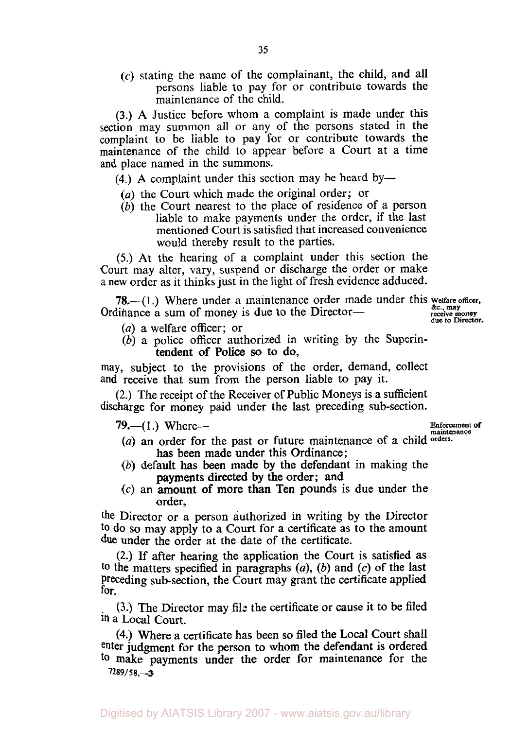$(c)$  stating the name of the complainant, the child, and all persons liable to pay for or contribute towards the maintenance of the child.

**(3.)** A Justice before whom a complaint is made under this section may summon all or any of the persons stated in the complaint to be liable to pay for or contribute towards the maintenance of the child to appear before a Court at a time and place named in the summons.

 $(4)$  A complaint under this section may be heard by-

- *(a)* the Court which made the original order; or
- *(b)* the Court nearest to the place of residence of a person liable to make payments under the order, if the last mentioned Court is satisfied that increased convenience would thereby result to the parties.

*(5.)* At the hearing of a complaint under this section the Court may alter, vary, suspend or discharge the order or make a new order as it thinks just in the light **of** fresh evidence adduced.

**78.**-(1.) Where under a maintenance order made under this welfare officer,<br>Ordinance a sum of money is due to the Director-<br>
streetive mirector-<br>
due to Director.

- *(a)* a welfare officer; or
- *(b)* a police officer authorized in writing by the Superintendent of Police so to do,

may, subject to the provisions of the order, demand, collect and receive that sum from the person liable to pay it.

(2.) The receipt of the Receiver of Public Moneys is a sufficient discharge for money paid under the last preceding sub-section.

79.—(1.) Where—

**Enforcement of** 

- (a) an order for the past or future maintenance of a child orders. has been made under this Ordinance;
- *(b)* default has been made by the defendant in making the payments directed by the order; and
- (c) an amount of more than Ten pounds is due under the order,

the Director or a person authorized in writing by the Director to do *so* may apply to a Court for a certificate as to the amount due under the order at the date of the certificate.

(2.) If after hearing the application the Court is satisfied **as**  to the matters specified in paragraphs *(a), (b)* and *(c)* of the last Preceding sub-section, the Court may grant the certificate applied for.

**(3.)** The Director may **file** the certificate or cause it to be filed in a Local Court.

**(4.)** Where a certificate has been so filed the **Local** Court shall enter judgment for the person to whom the defendant is ordered **to** make payments under the order for maintenance for the *7289/ 5* **8.-3**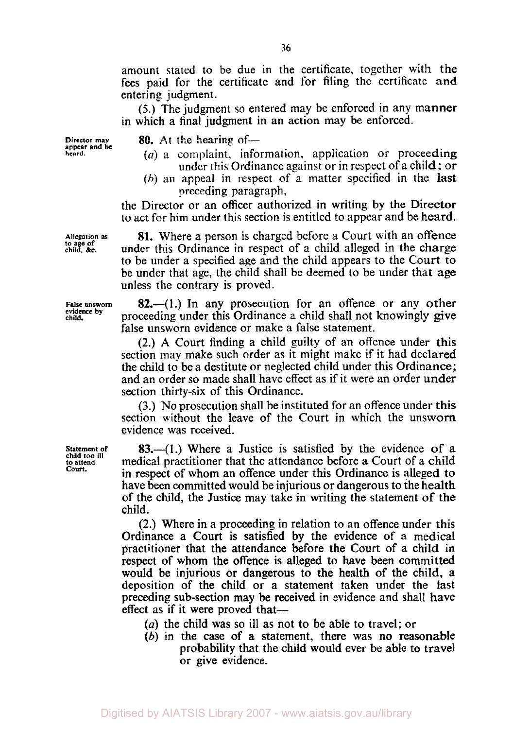amount stated to be due in the certificate, together with the fees paid for the certificate and for filing the certificate and entering judgment.

*(5.)* The judgment so entered may be enforced in any manner in which a final judgment in an action may be enforced.

**Director may appear and be heard.** 

**80.** At the hearing of—

- *(a)* a complaint, information. application or proceeding under this Ordinance against or ir. respect of **a** child; **or**
- *(b)* an appeal in respect of a matter specified in the last preceding paragraph,

the Director or an officer authorized in writing by the Director to act for him under this section is entitled to appear and be heard.

**81.** Where a person is charged before a Court with an offence under this Ordinance in respect of a child alleged in the charge to be under a specified age and the child appears to the Court to be under that age, the child shall be deemed to be under that age unless the contrary is proved.

**82.-(I.)** In any prosecution for an offence or any other proceeding under this Ordinance a child shall not knowingly give false unsworn evidence or make a false statement.

(2.) **A** Court finding a child guilty of an offence under this section may make such order as it might make if it had declared the child to be a destitute or neglected child under this Ordinance; and an order so made shall have effect as if it were an order **under**  section thirty-six of this Ordinance.

**(3.)** No prosecution shall be instituted for an offence under this section without the leave of the Court in which the unsworn evidence was received.

**83.-(1.)** Where a Justice is satisfied by the evidence of a medical practitioner that the attendance before a Court of a child in respect of whom an offence under this Ordinance is alleged to have been committed would be injurious or dangerous to the health of the child, the Justice may take in writing the statement **of** the child.

(2.) Where in a proceeding in relation to an offence under this Ordinance a Court is satisfied by the evidence of a medical practitioner that the attendance before the Court of a child in respect of whom the offence is alleged to have been committed would be injurious **or** dangerous to the health of the child, a deposition of the child or a statement taken under the last preceding sub-section may be received in evidence and shall have effect as if it were proved that-

- *(a)* the child was so ill **as** not to be able to travel: or
- *(b)* in the case **of** a statement, there was no reasonable probability that the child would ever be able to travel or give evidence.

**Allegation as to age of child, &c.** 

**False unsworn evidence by child.** 

**Statement of child too ill to attend Court.**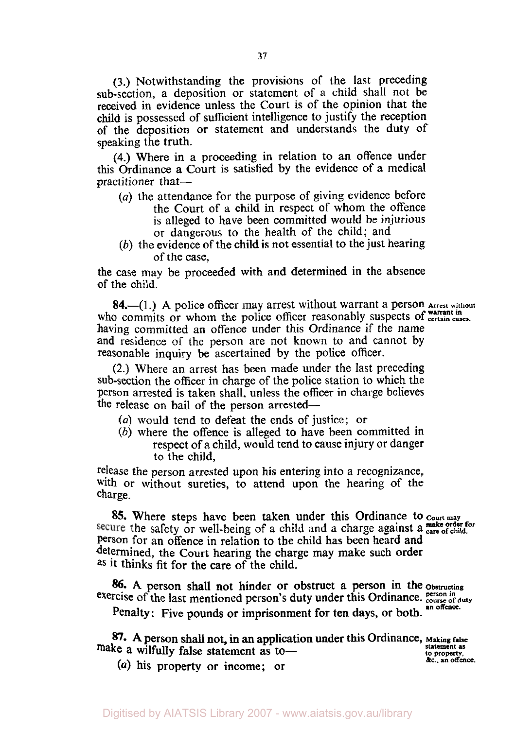**(3.)** Notwithstanding the provisions of the last preceding sub-section, a deposition or statement of a child shall not be received in evidence unless the Court is of the opinion that the child **is** possessed of sufficient intelligence to justify the reception **of** the deposition or statement and understands the duty of speaking the truth.

**(4.)** Where in a proceeding in relation to an offence under this Ordinance a Court **is** satisfied by the evidence of a medical practitioner that-

- *(a)* the attendance for the purpose of giving evidence before the Court of **a** child in respect of whom the offence **is** alleged to have been committed would be **injurious**  or dangerous to the health of the child; and
- *(b)* the evidence of the child is not essential to the just hearing of the case,

the case may be proceeded with and determined in the absence of the child.

**84.**-(1.) A police officer may arrest without warrant a person Arrest without who commits or whom the police officer reasonably suspects of certain cases. having committed an offence under this Ordinance if the name **and** residence of the person are not known to and cannot by reasonable inquiry be ascertained by the police officer.

**(2.)** Where an arrest has been made under the last preceding sub-section the officer in charge of the police station to which the Person arrested is taken shall, unless the officer in charge believes the release on bail of the person arrested-

- *(a)* would tend to defeat the ends of justice; or
- *(b)* where the offence is alleged to have been committed in respect of a child, would tend to cause injury or danger to the child,

release the person arrested upon his entering into a recognizance, with or without sureties, to attend upon the hearing of the charge.

**85.** Where steps have been taken under this Ordinance to *court may* secure the safety or well-being of a child and a charge against a care of child. Person for an offence in relation to the child has been heard and determined, the Court hearing the charge may make such order **as** it thinks fit for the care of the child.

*86.* **A** person shall not hinder **or** obstruct a person in the obstructing exercise of the last mentioned person's duty under this Ordinance. *person in* duty

Penalty: Five pounds **or** imprisonment **for** ten days, or both. **an offence.** 

*87.* **A** person shall not, in **an** application under this Ordinance, **Making false make a wilfully** false statement as to-

(a) his property or income; or

**statement as 10 &c., property. an offence.**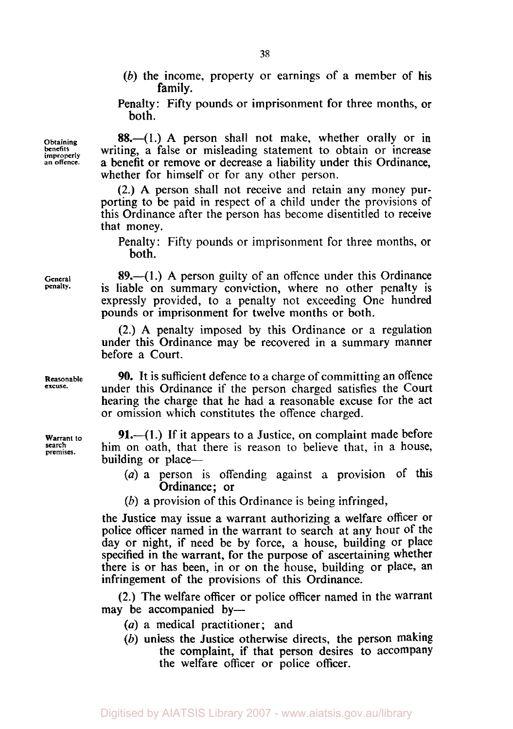(b) the income, property or earnings of a member of his family.

Penalty: Fifty pounds or imprisonment for three months, or both.

**88.**-(1.) A person shall not make, whether orally or in writing, a false or misleading statement to obtain or increase a benefit or remove or decrease a liability under this Ordinance, whether for himself or for any other person.

(2.) A person shall not receive and retain any money purporting to be paid in respect of a child under the provisions of this Ordinance after the person has become disentitled to receive that money.

Penalty: Fifty pounds or imprisonment for three months, or both.

**89.-( 1** .) A person guilty of an offence under this Ordinance is liable on summary conviction, where no other penalty is expressly provided, to a penalty not exceeding One hundred pounds or imprisonment for twelve months or both.

(2.) A penalty imposed by this Ordinance or a regulation under this Ordinance may be recovered in a summary manner before a Court.

90. It is sufficient defence to a charge of committing an offence under this Ordinance if the person charged satisfies the Court hearing the charge that he had a reasonable excuse for the act or omission which constitutes the offence charged.

**91.**—(1.) If it appears to a Justice, on complaint made before him on oath, that there is reason to believe that, in a house, building or place—

- *(a)* a person is offending against a provision of this Ordinance; or
- (b) a provision of this Ordinance is being infringed,

the Justice may issue a warrant authorizing a welfare officer or police officer named in the warrant to search at any hour of the day or night, if need be by force, a house, building or place specified in the warrant, for the purpose of ascertaining whether there is or has been, in or on the house, building or place, an infringement of the provisions of this Ordinance.

(2.) The welfare officer or police officer named in the warrant may be accompanied by-

- *(a)* a medical practitioner; and
- *(b)* unless the Justice otherwise directs, the person making the complaint, if that person desires to accompany the welfare officer or police officer.

**Obtaining benefits improperly an offence.** 

**General penalty.** 

**Warrant to search premises.** 

**Reasonable excuse.**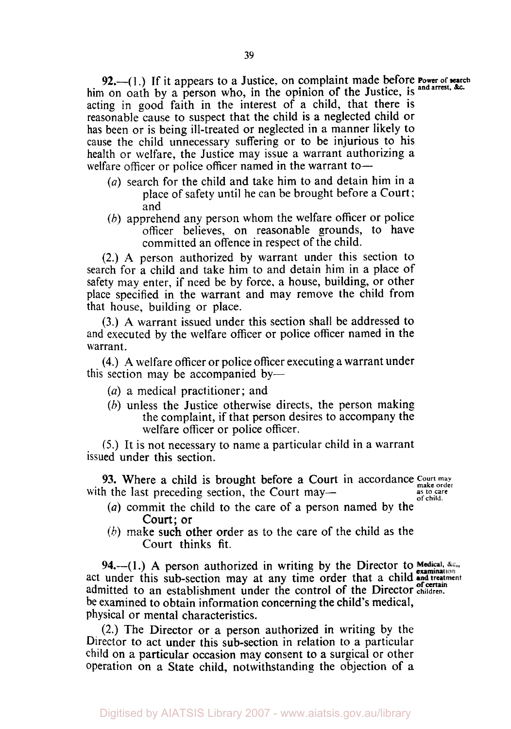92.-(1.) If it appears to a Justice, on complaint made before *Power of search* him on oath by a person who, in the opinion of the Justice, is and arrest, &c. acting in good faith in the interest of a child, that there is reasonable cause to suspect that the child is a neglected child or has been or is being ill-treated or neglected in a manner likely to cause the child unnecessary suffering or to be injurious to his health or welfare, the Justice may issue a warrant authorizing a welfare officer or police officer named in the warrant to-

- *(a)* search for the child and take him to and detain him in **a**  place of safety until he can be brought before a Court ; and
- *(b)* apprehend any person whom the welfare officer or police officer believes, on reasonable grounds, to have committed an offence in respect of the child.

(2.) **A** person authorized by warrant under this section to search for a child and take him to and detain him in a place of safety may enter, if need be by force, a house, building, or other place specified in the warrant and may remove the child from that house, building or place.

**(3.) A** warrant issued under this section shall be addressed to and executed by the welfare officer or police officer named in the warrant.

**(4.) A** welfare officer or police officer executing a warrant under this section may be accompanied by-

- *(a)* a medical practitioner; and
- *(b)* unless the Justice otherwise directs, the person making the complaint, if that person desires to accompany the welfare officer or police officer.

*(5.)* It is not necessary to name a particular child in a warrant issued under this section.

**93.** Where a child is brought before a Court in accordance Court may make order to make order the last order order of the Court may make order as to care with the last preceding section, the Court may-<br>of child.

- *(a)* commit the child to the care of a person named by the Court; or
- *(b)* make such other order **as** to the care of the child as the Court thinks fit.

94.—(1.) A person authorized in writing by the Director to Medical, &c., act under this sub-section may at any time order that a child **and treatment of certain**  act under this sub-section may at any time create the control of the Director children. be examined to obtain information concerning the child's medical, physical or mental characteristics.

(2.) The Director or a person authorized in writing by the Director to act under this sub-section in relation to a particular child on a particular occasion may consent to a surgical or other operation on a State child, notwithstanding the objection **of** a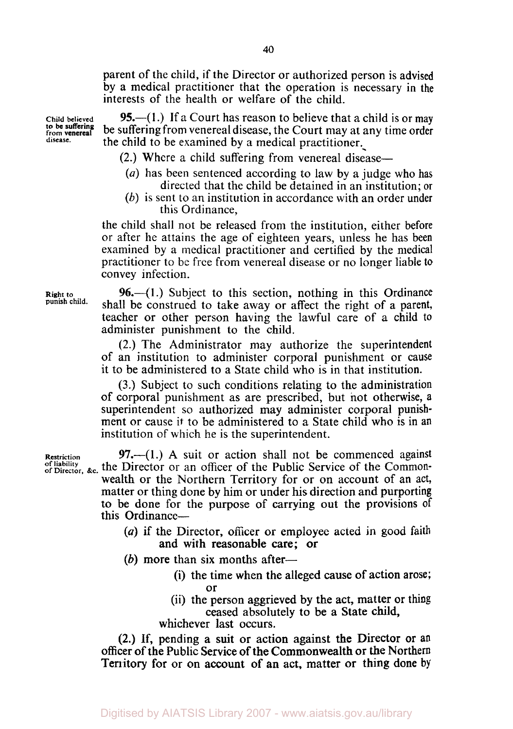parent of the child, if the Director or authorized person is advised by a medical practitioner that the operation is necessary in the interests of the health or welfare of the child.

95.—(1.) If a Court has reason to believe that a child is or may be suffering from venereal disease, the Court may at any time order the child to be examined by a medical practitioner.

- $(2.)$  Where a child suffering from venereal disease—
- *(a)* has been sentenced according to law by a judge who has directed that the child be detained in an institution; or
- *(b)* is sent to an institution in accordance with an order under this Ordinance,

the child shall not be released from the institution, either before or after he attains the age of eighteen years, unless he has been examined by a medical practitioner and certified by the medical practitioner to be free from venereal disease or no longer liable to convey infection.

96.—(1.) Subject to this section, nothing in this Ordinance shall be construed to take away or affect the right of a parent, teacher or other person having the lawful care of a child to administer punishment to the child.

(2.) The Administrator may authorize the superintendent of an institution to administer corporal punishment or cause it to be administered to a State child who is in that institution.

**(3.)** Subject to such conditions relating to the administration of corporal punishment as are prescribed, but not otherwise, a superintendent so authorized may administer corporal punishment or cause it to be administered to a State child who is in an institution of which he is the superintendent.

**Restriction** 97. $-(1)$  A suit or action shall not be commenced against of liability of Director or an officer of the Public Service of the Commonwealth or the Northern Territory for or on account of an act, matter or thing done by him or under his direction and purporting **to** be done for the purpose of carrying out the provisions of this Ordinance-

- *(a)* if the Director, officer **or** employee acted in good **faith**  and with reasonable care; or
- (b) more than six months after-
	- (i) the time when the alleged cause of action arose; or
	- (ii) the person aggrieved by the act, matter or thing ceased absolutely to be a State child,

whichever last occurs.

**(2.) If,** pending a suit or action against the Director or an officer **of** the Public Service **of** the Commonwealth or the Northern Territory for or on account of an act, matter or thing done **by** 

**Child believed**  from **venereal disease. to** be **suffering** 

**Right to punish child.**